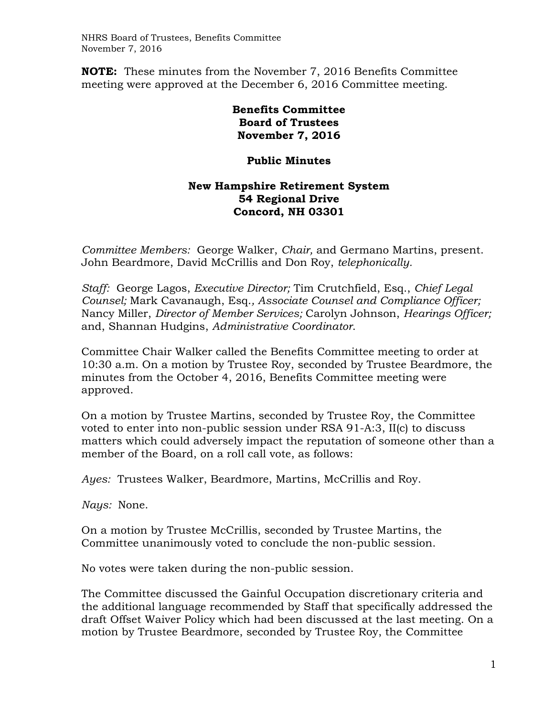**NOTE:** These minutes from the November 7, 2016 Benefits Committee meeting were approved at the December 6, 2016 Committee meeting.

> **Benefits Committee Board of Trustees November 7, 2016**

## **Public Minutes**

## **New Hampshire Retirement System 54 Regional Drive Concord, NH 03301**

*Committee Members:* George Walker, *Chair,* and Germano Martins, present. John Beardmore, David McCrillis and Don Roy, *telephonically.*

*Staff:* George Lagos, *Executive Director;* Tim Crutchfield, Esq., *Chief Legal Counsel;* Mark Cavanaugh, Esq.*, Associate Counsel and Compliance Officer;*  Nancy Miller, *Director of Member Services;* Carolyn Johnson, *Hearings Officer;*  and, Shannan Hudgins, *Administrative Coordinator*.

Committee Chair Walker called the Benefits Committee meeting to order at 10:30 a.m. On a motion by Trustee Roy, seconded by Trustee Beardmore, the minutes from the October 4, 2016, Benefits Committee meeting were approved.

On a motion by Trustee Martins, seconded by Trustee Roy, the Committee voted to enter into non-public session under RSA 91-A:3, II(c) to discuss matters which could adversely impact the reputation of someone other than a member of the Board, on a roll call vote, as follows:

*Ayes:* Trustees Walker, Beardmore, Martins, McCrillis and Roy.

*Nays:* None.

On a motion by Trustee McCrillis, seconded by Trustee Martins, the Committee unanimously voted to conclude the non-public session.

No votes were taken during the non-public session.

The Committee discussed the Gainful Occupation discretionary criteria and the additional language recommended by Staff that specifically addressed the draft Offset Waiver Policy which had been discussed at the last meeting. On a motion by Trustee Beardmore, seconded by Trustee Roy, the Committee